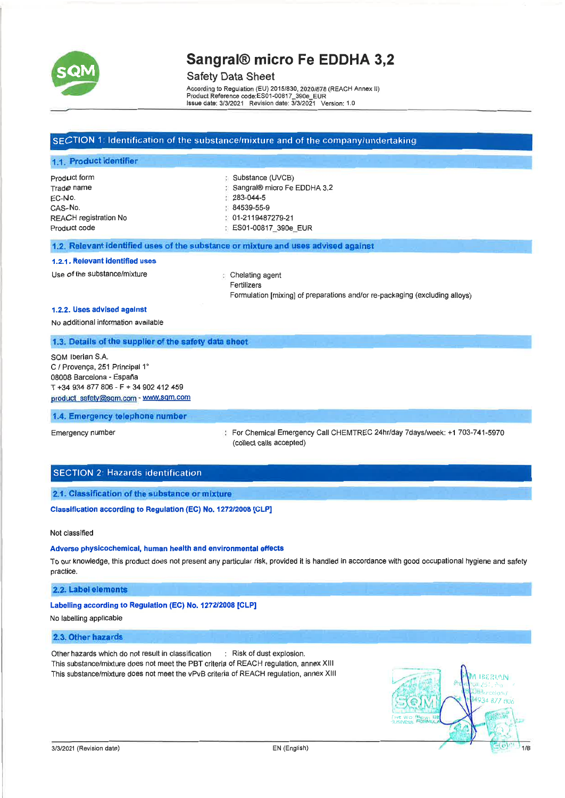

### Safety Data Sheet

Accordlhg to Regulation (EU) 20151830, *20201878* (REACH Annex II) Product Reference code:ES01-00817\_390e\_EUR<br>ssue date: 3/3/2021 Revision date: 3/3/2021 Version: 1.0

## SECTION 1: Identification of the substance/mixture and of the company/undertaking

| 1.1. Product identifier   |                             |
|---------------------------|-----------------------------|
| P <sub>rod</sub> uct form | : Substance (UVCB)          |
| Trad <i>e</i> name        | Sangral® micro Fe EDDHA 3,2 |
| EC-No.                    | $283 - 044 - 5$             |
| CAS-No.                   | 84539-55-9                  |
| REACH registration No     | $01-2119487279-21$          |
| Product code              | ES01-00817_390e_EUR         |
|                           |                             |

#### 1.2. Relevant Identified uses of the substance or mixture and uses advised against

#### 1.2.1. Relevant identified uses

Use of the substance/mixture  $\Box$  Chelating agent

Fertilizers Formulation [mixing] of preparations and/or re-packaging (excluding alloys)

#### 1.2.2. Uses advised against

No additional information available

#### 1.3. Details of the supplier of the safety data sheet

SQM Iberian S.A. C / Provença, 251 Principal 1° 08008 Barcelona - España T +34 934 877 806 - F + 34 902 412 459 product safety@sqm.com - www.sqm.com

#### 1.4. Emergency telephone number

Emergency number For Chemical Emergency Call CHEMTREC 24hr/day 7days/week: +1 703-741-5970 (collect calls accepted)

### SECTION 2: Hazards identification

#### 2.1. Classification of the substance or mixture

Classification according to Regulation (EC) No. *1272/2008* [CLP]

Not classified

#### Adverse physicochemical, human health and environmental effects

To our knowledge, this product does not present any particular risk, provided it is handled in accordance with good occupational hygiene and safety practice.

#### 2,2. Label elements

#### Labelling according to Regulation (EC) No. *1272/2008* [CLP]

No labelling applicable

#### 2.3. other hazards

Other hazards which do not result in classification : Risk of dust explosion. This substance/mixture does not meet the PBT criteria of REACH regulation, annex XIII This substance/mixture does not meet the vPvB criteria of REACH regulation, annex XIII

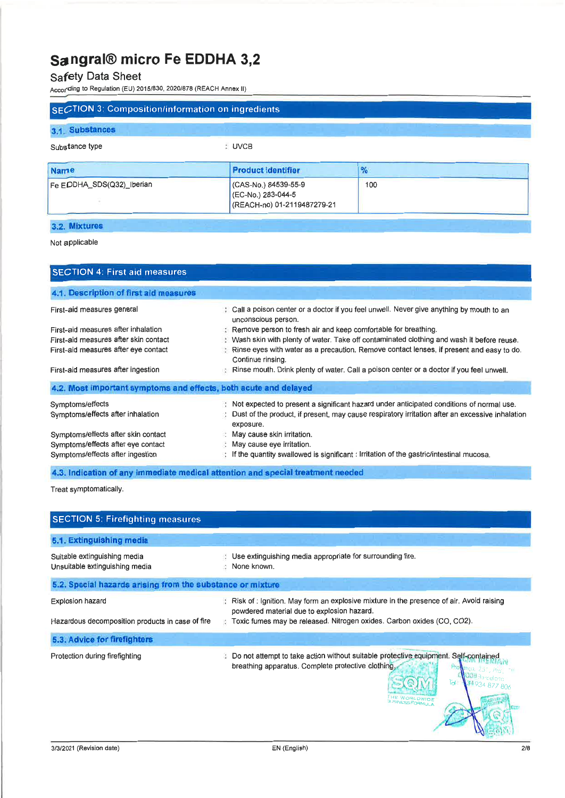# Safety Data Sheet

According to Regulation (EU) 2015/830, 2020/878 (REACH Annex II)

| <b>SECTION 3: Composition/information on ingredients</b> |                                                                           |                                                                                          |  |
|----------------------------------------------------------|---------------------------------------------------------------------------|------------------------------------------------------------------------------------------|--|
| 3.1. Substances                                          |                                                                           |                                                                                          |  |
| Substance type                                           | : UVCB                                                                    |                                                                                          |  |
| <b>Name</b>                                              | <b>Product identifier</b>                                                 | $\frac{9}{6}$                                                                            |  |
| Fe EDDHA_SDS(Q32)_Iberian                                | (CAS-No.) 84539-55-9<br>(EC-No.) 283-044-5<br>(REACH-no) 01-2119487279-21 | 100                                                                                      |  |
| 3.2. Mixtures                                            |                                                                           |                                                                                          |  |
| Not applicable                                           |                                                                           |                                                                                          |  |
| <b>SECTION 4: First aid measures</b>                     |                                                                           |                                                                                          |  |
| 4.1. Description of first aid measures                   |                                                                           |                                                                                          |  |
| First-aid measures general                               | unconscious person.                                                       | Call a poison center or a doctor if you feel unwell. Never give anything by mouth to an  |  |
| First-aid measures after inhalation                      | Remove person to fresh air and keep comfortable for breathing.            |                                                                                          |  |
| First-aid measures after skin contact                    |                                                                           | Wash skin with plenty of water. Take off contaminated clothing and wash it before reuse. |  |
| First-aid measures after eye contact                     | Continue rinsing.                                                         | Rinse eyes with water as a precaution. Remove contact lenses, if present and easy to do. |  |

First-aid measures after ingestion

| First-aid measures after ingestion                                                                            | Rinse mouth. Drink plenty of water. Call a poison center or a doctor if you feel unwell.                                                                                                                 |  |  |
|---------------------------------------------------------------------------------------------------------------|----------------------------------------------------------------------------------------------------------------------------------------------------------------------------------------------------------|--|--|
| 4.2. Most important symptoms and effects, both acute and delayed                                              |                                                                                                                                                                                                          |  |  |
| Symptoms/effects<br>Symptoms/effects after inhalation                                                         | Not expected to present a significant hazard under anticipated conditions of normal use.<br>Dust of the product, if present, may cause respiratory irritation after an excessive inhalation<br>exposure. |  |  |
| Symptoms/effects after skin contact<br>Symptoms/effects after eye contact<br>Symptoms/effects after ingestion | May cause skin irritation.<br>May cause eye irritation.<br>If the quantity swallowed is significant : Irritation of the gastric/intestinal mucosa.                                                       |  |  |

4.3. Indication of any immediate medical attention and special treatment needed

Treat symptomatically.

| <b>SECTION 5: Firefighting measures</b>                                     |                                                                                                                                                                                                                 |
|-----------------------------------------------------------------------------|-----------------------------------------------------------------------------------------------------------------------------------------------------------------------------------------------------------------|
| 5.1. Extinguishing media                                                    |                                                                                                                                                                                                                 |
| Suitable extinguishing media<br>Unsuitable extinguishing media              | Use extinguishing media appropriate for surrounding fire.<br>None known.                                                                                                                                        |
| 5.2. Special hazards arising from the substance or mixture                  |                                                                                                                                                                                                                 |
| <b>Explosion hazard</b><br>Hazardous decomposition products in case of fire | Risk of : Ignition. May form an explosive mixture in the presence of air. Avoid raising<br>powdered material due to explosion hazard.<br>Toxic fumes may be released. Nitrogen oxides. Carbon oxides (CO, CO2). |
| 5.3. Advice for firefighters                                                |                                                                                                                                                                                                                 |
| Protection during firefighting                                              | Do not attempt to take action without suitable protective equipment. Self-contained<br>÷<br>breathing apparatus. Complete protective clothing.<br>নৈ<br>PRLOWIDE<br>SINESS FORMULA                              |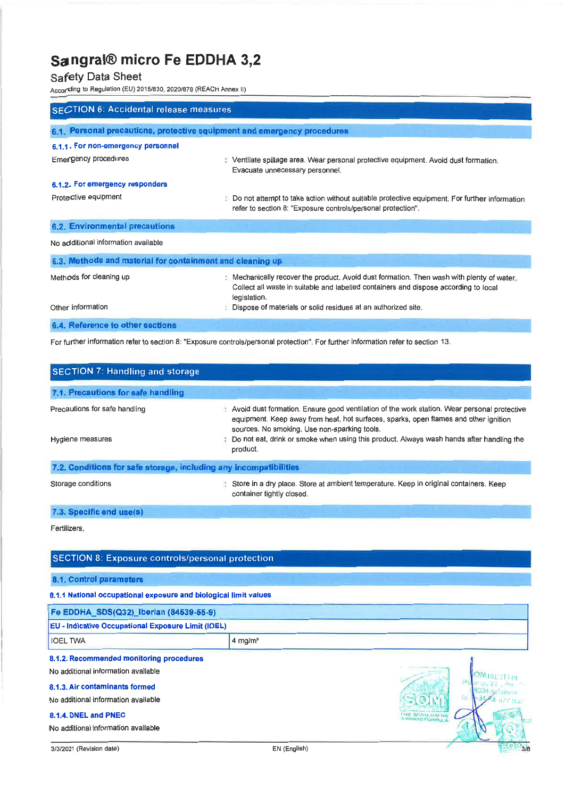# Safety Data Sheet

According to Regulation (EU) 2015/830, 2020/878 (REACH Annex II)

| SECTION 6: Accidental release measures                                   |                                                                                                                                                                                                 |
|--------------------------------------------------------------------------|-------------------------------------------------------------------------------------------------------------------------------------------------------------------------------------------------|
| 6.1. Personal precautions, protective equipment and emergency procedures |                                                                                                                                                                                                 |
| 6.1.1. For non-emergency personnel                                       |                                                                                                                                                                                                 |
| Emergency procedures                                                     | Ventilate spillage area. Wear personal protective equipment. Avoid dust formation.<br>Evacuate unnecessary personnel.                                                                           |
| 6.1.2. For emergency responders                                          |                                                                                                                                                                                                 |
| Protective equipment                                                     | Do not attempt to take action without suitable protective equipment. For further information<br>refer to section 8: "Exposure controls/personal protection".                                    |
| 6.2. Environmental precautions                                           |                                                                                                                                                                                                 |
| No additional information available                                      |                                                                                                                                                                                                 |
| 6.3. Methods and material for containment and cleaning up                |                                                                                                                                                                                                 |
| Methods for cleaning up                                                  | Mechanically recover the product. Avoid dust formation. Then wash with plenty of water.<br>Collect all waste in suitable and labelled containers and dispose according to local<br>legislation. |
| Other information                                                        | Dispose of materials or solid residues at an authorized site.                                                                                                                                   |
| 6.4. Reference to other sections                                         |                                                                                                                                                                                                 |

For further information refer to section 8: "Exposure controls/personal protection". For further information refer to section 13.

| <b>SECTION 7: Handling and storage</b>                            |                                                                                                                                                                                                                                     |
|-------------------------------------------------------------------|-------------------------------------------------------------------------------------------------------------------------------------------------------------------------------------------------------------------------------------|
| 7.1. Precautions for safe handling                                |                                                                                                                                                                                                                                     |
| Precautions for safe handling                                     | Avoid dust formation. Ensure good ventilation of the work station. Wear personal protective<br>equipment. Keep away from heat, hot surfaces, sparks, open flames and other ignition<br>sources. No smoking. Use non-sparking tools. |
| Hygiene measures                                                  | Do not eat, drink or smoke when using this product. Always wash hands after handling the<br>product.                                                                                                                                |
| 7.2. Conditions for safe storage, including any incompatibilities |                                                                                                                                                                                                                                     |
| Storage conditions                                                | Store in a dry place. Store at ambient temperature. Keep in original containers. Keep<br>container tightly closed.                                                                                                                  |
| 7.3. Specific end use(s)                                          |                                                                                                                                                                                                                                     |
| Fertilizers.                                                      |                                                                                                                                                                                                                                     |
| <b>SECTION 8: Exposure controls/personal protection</b>           |                                                                                                                                                                                                                                     |
| 8.1. Control parameters                                           |                                                                                                                                                                                                                                     |
| 8.1.1 National occupational exposure and biological limit values  |                                                                                                                                                                                                                                     |
| Fe EDDHA_SDS(Q32)_Iberian (84539-55-9)                            |                                                                                                                                                                                                                                     |
| <b>EU - Indicative Occupational Exposure Limit (IOEL)</b>         |                                                                                                                                                                                                                                     |

8.1.2. Recommended monitoring procedures

No additional information available

**IOEL TWA** 14 mg/m<sup>3</sup>

#### 8.1.3. Air contaminants formed

No additional information available

### 8.1.4. DNEL and PNEC

No additional information available

鳳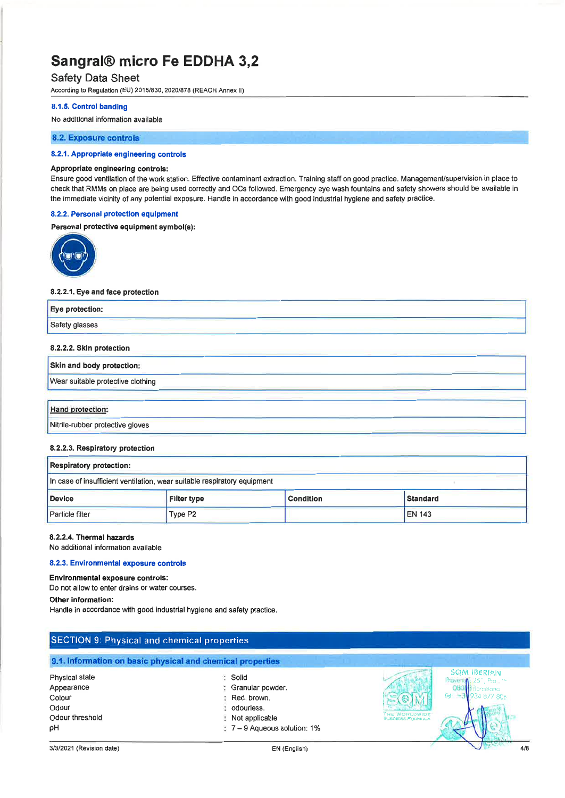# Safety Data Sheet

According to Regulation (EU) 2015/830, 2020/878 (REACH Annex II)

#### 8.1.5. Control banding

### No additional information available

#### 8.2. Exposure controls

#### 8.2.1. Appropriate engineering controls

#### Appropriate engineering controls:

Ensure good ventilation of the work station, Effective contaminant extraction. Training staff on good practice. Management/supervision in place to check that RMMs on place are being used correctly and OCs followed. Emergency eye wash fountains and safety showers should be available in the immediate vicinity of any potential exposure. Handle in accordance with good industrial hygiene and safety practice.

#### 8.2.2. Personal protection equipment

#### Personal protective equipment symbol(s):



#### 8.2.2.1. Eye and face protection

| Eye protection: |         |
|-----------------|---------|
| Safety glasses  | _______ |

#### 8.2.2.2. Skin protection

| <b>Skin and body protection:</b>  |  |  |
|-----------------------------------|--|--|
| Wear suitable protective clothing |  |  |
|                                   |  |  |

#### Hand protection:

Nitrile-rubber protective gloves

#### 8.2.2.3. Respiratory protection

| <b>Respiratory protection:</b>                                             |         |  |               |  |
|----------------------------------------------------------------------------|---------|--|---------------|--|
| In case of insufficient ventilation, wear suitable respiratory equipment   |         |  |               |  |
| <b>Device</b><br><b>Standard</b><br><b>Filter type</b><br><b>Condition</b> |         |  |               |  |
| Particle filter                                                            | Type P2 |  | <b>EN 143</b> |  |

#### 8.2.2.4. Thermal hazards

No additional information available

### 8.2.3. Environmental exposure controls

#### Environmental exposure controls:

Do not allow to enter drains or water courses.

#### Other information:

Handle in accordance with good industrial hygiene and safety practice.

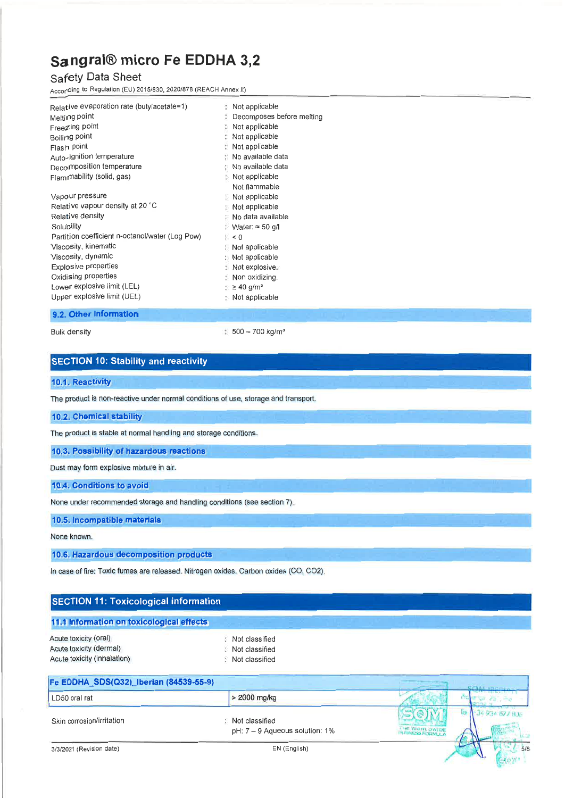# **Safety Data Sheet**

According to Regulation (EU) *2015/830, 2020/878* (REACH Annex II)

| Relative evaporation rate (butylacetate=1)      | Not applicable               |
|-------------------------------------------------|------------------------------|
| Melting point                                   | Decomposes before melting    |
| Freezing point                                  | Not applicable               |
| Boiling point                                   | Not applicable               |
| Flash point                                     | Not applicable               |
| Auto-ignition temperature                       | : No available data          |
| Decomposition temperature<br>Ō,                 | No available data            |
| Flammability (solid, gas)                       | : Not applicable             |
|                                                 | Not flammable                |
| Vapour pressure                                 | : Not applicable             |
| Relative vapour density at 20 °C                | $\therefore$ Not applicable  |
| Relative density                                | No data available            |
| Solubility                                      | $Water \approx 50$ g/l       |
| Partition coefficient n-octanol/water (Log Pow) | $\therefore$ < 0             |
| Viscosity, kinematic                            | : Not applicable             |
| Viscosity, dynamic                              | Not applicable               |
| <b>Explosive properties</b>                     | : Not explosive.             |
| Oxidising properties                            | Non oxidizing.               |
| Lower explosive limit (LEL)                     | : $\geq 40$ g/m <sup>3</sup> |
| Upper explosive limit (UEL)                     | $\therefore$ Not applicable  |

### **9.2. Other information**

Bulk density

: 500 - 700 kg/m<sup>3</sup>

# **SECTION 10: Stability and reactivity**

#### **10.1. Reactivity**

The product is non-reactive under normal conditions of use, storage and transport.

# 0.2. Chemical stability

The product is stable at normal handling and storage conditions.

#### **10.3. Possibility of hazardous reactions**

Dust may form explosive mixture in air.

#### **10.4. Conditions to avoid**

None under recommended storage and handling conditions (see section 7),

#### **10.5. Incompatible materials**

None known.

# **0.6. Hazardous decomposition products**

In case of fire: Toxic fumes are released. Nitrogen oxides. Carbon oxides (CO, CO2).

#### **Fe EDDHA\_SDS(Q32)\_1berian (84539-55-9) SECTION 11: Toxicological information 11.1 Information on toxicological effects** Acute toxicity (oral) Acute toxicity (dermal) Acute toxicity (inhalation) Not classified Not classified Not classified

| Fe EDDHA_SDS(Q32)_Iberian (84539-55-9) |                                                    |               |
|----------------------------------------|----------------------------------------------------|---------------|
| LD50 oral rat                          | $>$ 2000 mg/kg                                     |               |
| Skin corrosion/irritation              | Not classified<br>$pH: 7 - 9$ Aqueous solution: 1% | THE WORLOWIDE |
| 3/3/2021 (Revision date)               | EN (English)                                       | $5/\xi$       |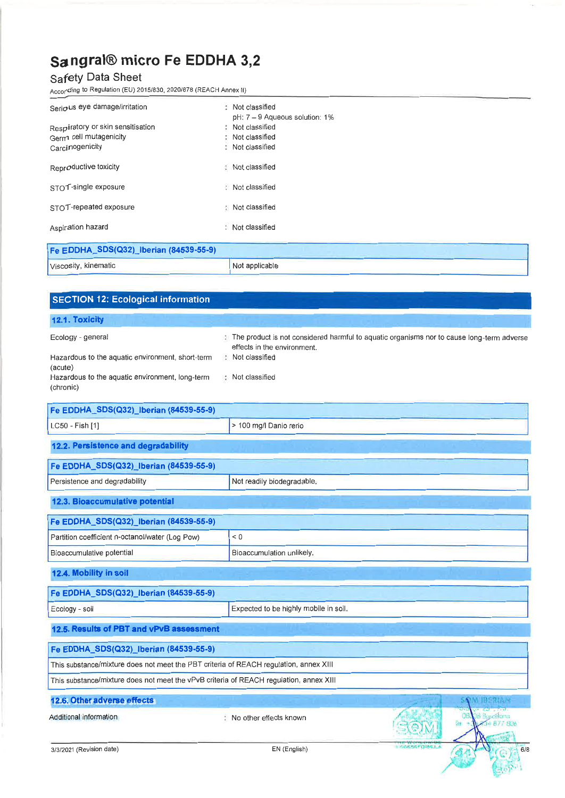# **Safety Data Sheet**

Acco(ding to Regulation (EU) *2015/830,2020/878* (REACH Annex II)

| Serious eye damage/irritation             | : Not classified                                 |  |
|-------------------------------------------|--------------------------------------------------|--|
| Respiratory or skin sensitisation         | pH: 7 - 9 Aqueous solution: 1%<br>Not classified |  |
| Germ cell mutagenicity<br>Carcinogenicity | Not classified<br>Not classified                 |  |
| Reproductive toxicity                     | Not classified                                   |  |
| STOT-single exposure                      | Not classified                                   |  |
| STOT-repeated exposure                    | : Not classified                                 |  |
| Aspiration hazard                         | : Not classified                                 |  |
| Fe EDDHA_SDS(Q32)_Iberian (84539-55-9)    |                                                  |  |

| LE COOLING ONOIROR TINGHAIL (04003-00-9) |                |
|------------------------------------------|----------------|
| Viscosity, kinematic                     | Not applicable |

| <b>SECTION 12: Ecological information</b>                                                                                                        |                                                                     |                                                                                           |
|--------------------------------------------------------------------------------------------------------------------------------------------------|---------------------------------------------------------------------|-------------------------------------------------------------------------------------------|
| 12.1. Toxicity                                                                                                                                   |                                                                     |                                                                                           |
| Ecology - general<br>Hazardous to the aquatic environment, short-term<br>(acute)<br>Hazardous to the aquatic environment, long-term<br>(chronic) | effects in the environment.<br>: Not classified<br>: Not classified | The product is not considered harmful to aquatic organisms nor to cause long-term adverse |
| Fe EDDHA_SDS(Q32)_Iberian (84539-55-9)                                                                                                           |                                                                     |                                                                                           |
| LC50 - Fish [1]                                                                                                                                  | > 100 mg/l Danio rerio                                              |                                                                                           |
| 12.2. Persistence and degradability                                                                                                              |                                                                     |                                                                                           |
| Fe EDDHA_SDS(Q32) Iberian (84539-55-9)                                                                                                           |                                                                     |                                                                                           |
| Persistence and degradability                                                                                                                    | Not readily biodegradable.                                          |                                                                                           |
| 12.3. Bioaccumulative potential                                                                                                                  |                                                                     |                                                                                           |
| Fe EDDHA_SDS(Q32)_Iberian (84539-55-9)                                                                                                           |                                                                     |                                                                                           |
| Partition coefficient n-octanol/water (Log Pow)                                                                                                  | $\leq 0$                                                            |                                                                                           |
| Bioaccumulative potential                                                                                                                        | Bioaccumulation unlikely.                                           |                                                                                           |
| 12.4. Mobility in soil                                                                                                                           |                                                                     |                                                                                           |
| Fe EDDHA SDS(Q32) Iberian (84539-55-9)                                                                                                           |                                                                     |                                                                                           |
| Ecology - soil                                                                                                                                   | Expected to be highly mobile in soil.                               |                                                                                           |
| 12.5. Results of PBT and vPvB assessment                                                                                                         |                                                                     |                                                                                           |
| Fe EDDHA_SDS(Q32)_Iberian (84539-55-9)                                                                                                           |                                                                     |                                                                                           |
| This substance/mixture does not meet the PBT criteria of REACH regulation, annex XIII                                                            |                                                                     |                                                                                           |
| This substance/mixture does not meet the vPvB criteria of REACH regulation, annex XIII                                                           |                                                                     |                                                                                           |
| 12.6. Other adverse effects                                                                                                                      |                                                                     |                                                                                           |
| Additional information                                                                                                                           | No other effects known                                              | ezőkva<br>fet.<br>3+ 877 806                                                              |
| 3/3/2021 (Revision date)                                                                                                                         | EN (English)                                                        | 6/E                                                                                       |

Capper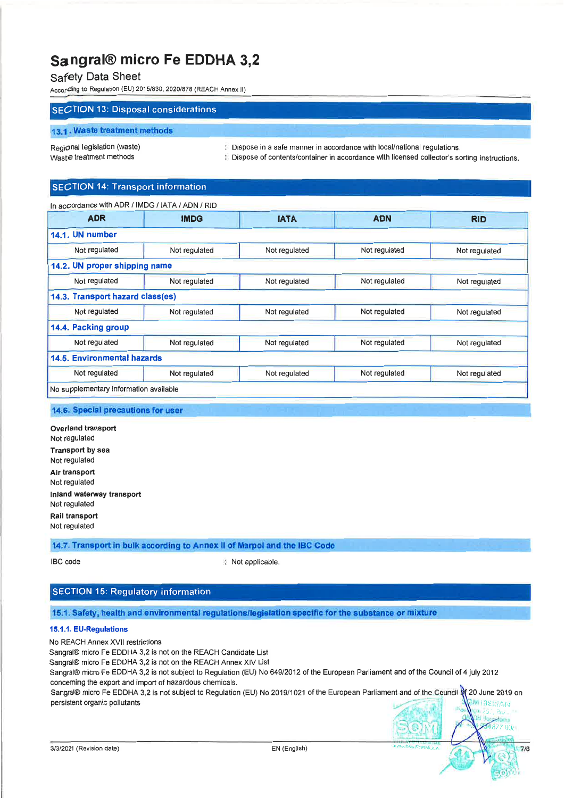# Safety Data Sheet

According to Regulation (EU) *2015/830,2020/878* (REACH Annex II)

# SECTION 13: Disposal considerations

#### 13.1. Waste treatment methods

Regional legislation (waste) Waste treatment methods

 $\mathbb B$  Dispose in a safe manner in accordance with local/national regulations.

Dispose of contents/container in accordance with licensed collector's sorting instructions.

# SECTION 14: Transport information

| In accordance with ADR / IMDG / IATA / ADN / RID |               |               |               |               |
|--------------------------------------------------|---------------|---------------|---------------|---------------|
| <b>ADR</b>                                       | <b>IMDG</b>   | <b>IATA</b>   | <b>ADN</b>    | <b>RID</b>    |
| 14.1. UN number                                  |               |               |               |               |
| Not regulated                                    | Not regulated | Not regulated | Not regulated | Not regulated |
| 14.2. UN proper shipping name                    |               |               |               |               |
| Not regulated                                    | Not regulated | Not regulated | Not regulated | Not regulated |
| 14.3. Transport hazard class(es)                 |               |               |               |               |
| Not regulated                                    | Not regulated | Not regulated | Not regulated | Not regulated |
| 14.4. Packing group                              |               |               |               |               |
| Not regulated                                    | Not regulated | Not regulated | Not regulated | Not regulated |
| <b>14.5. Environmental hazards</b>               |               |               |               |               |
| Not regulated                                    | Not regulated | Not regulated | Not regulated | Not regulated |
| No supplementary information available           |               |               |               |               |

#### 14.6. Special precautions for user

Overland transport Not regulated Transport by sea Not regulated Air transport Not regulated Inland waterway transport Not regulated Rail transport Not regulated

## 14.7. Transport in bulk according to Annex II of Marpol and the IBC Code

IBC code : Not applicable.

# SECTION 15: Regulatory information

### 15.1. Safety, health and environmental regulations/legislation specific for the substance or mixture

### 15.1.1. EU·Regulations

No REACH Annex XVII restrictions

Sangral® micro Fe EDDHA 3,2 is not on the REACH Candidate List

Sangral® micro Fe EDDHA 3,2 is not on the REACH Annex XIV List Sangral® micro Fe EDDHA 3,2 is not subject to Regulation (EU) No *649/2012* of the European Parliament and of the Council of 4 july 2012 concerning the export and import of hazardous chemicals.

Sangral® micro Fe EDDHA 3,2 is not subject to Regulation (EU) No 2019/1021 of the European Parliament and of the Council of 20 June 2019 on persistent organic pollutants